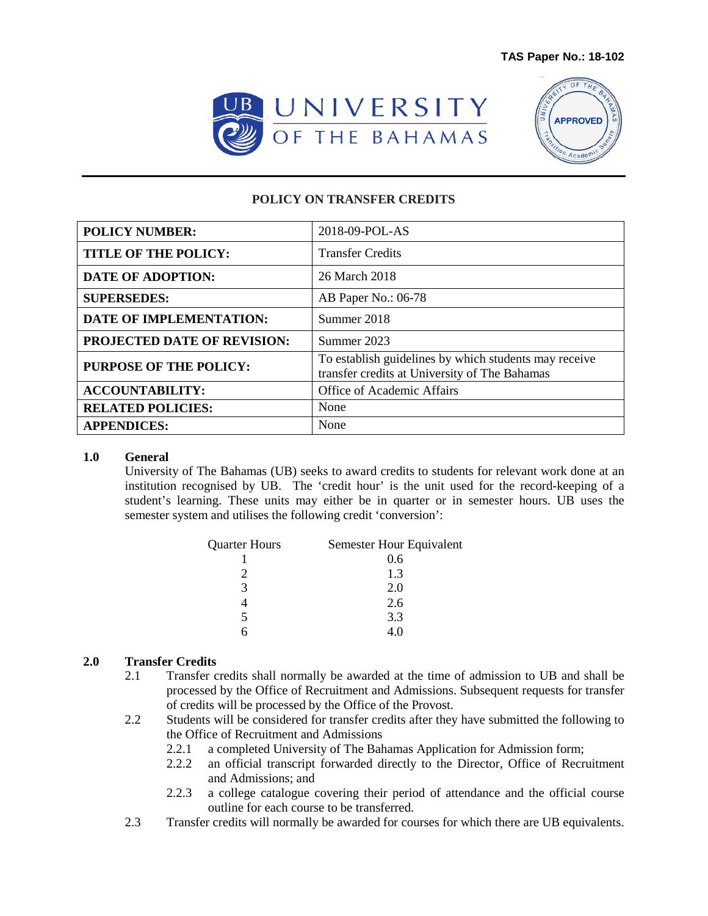



## **POLICY ON TRANSFER CREDITS**

| <b>POLICY NUMBER:</b>          | 2018-09-POL-AS                                                                                         |
|--------------------------------|--------------------------------------------------------------------------------------------------------|
| <b>TITLE OF THE POLICY:</b>    | <b>Transfer Credits</b>                                                                                |
| <b>DATE OF ADOPTION:</b>       | 26 March 2018                                                                                          |
| <b>SUPERSEDES:</b>             | AB Paper No.: 06-78                                                                                    |
| <b>DATE OF IMPLEMENTATION:</b> | Summer 2018                                                                                            |
| PROJECTED DATE OF REVISION:    | Summer 2023                                                                                            |
| <b>PURPOSE OF THE POLICY:</b>  | To establish guidelines by which students may receive<br>transfer credits at University of The Bahamas |
| <b>ACCOUNTABILITY:</b>         | Office of Academic Affairs                                                                             |
| <b>RELATED POLICIES:</b>       | None                                                                                                   |
| <b>APPENDICES:</b>             | None                                                                                                   |

## **1.0 General**

University of The Bahamas (UB) seeks to award credits to students for relevant work done at an institution recognised by UB. The 'credit hour' is the unit used for the record-keeping of a student's learning. These units may either be in quarter or in semester hours. UB uses the semester system and utilises the following credit 'conversion':

| <b>Quarter Hours</b> | Semester Hour Equivalent |
|----------------------|--------------------------|
|                      | 0.6                      |
|                      | 1.3                      |
| 3                    | 2.0                      |
|                      | 2.6                      |
| 5                    | 3.3                      |
|                      | 4 O                      |

## **2.0 Transfer Credits**

- 2.1 Transfer credits shall normally be awarded at the time of admission to UB and shall be processed by the Office of Recruitment and Admissions. Subsequent requests for transfer of credits will be processed by the Office of the Provost.
- 2.2 Students will be considered for transfer credits after they have submitted the following to the Office of Recruitment and Admissions
	- 2.2.1 a completed University of The Bahamas Application for Admission form;
	- 2.2.2 an official transcript forwarded directly to the Director, Office of Recruitment and Admissions; and
	- 2.2.3 a college catalogue covering their period of attendance and the official course outline for each course to be transferred.
- 2.3 Transfer credits will normally be awarded for courses for which there are UB equivalents.